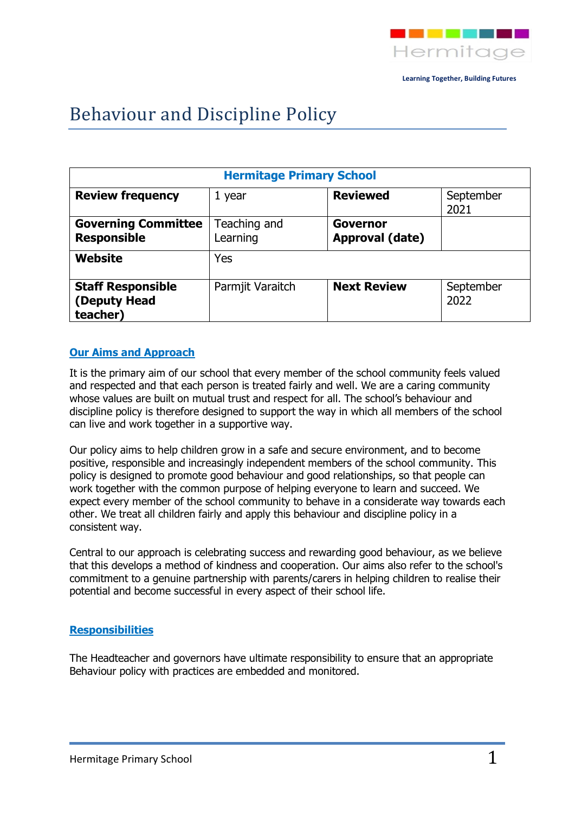

# Behaviour and Discipline Policy

| <b>Hermitage Primary School</b>                      |                          |                             |                   |
|------------------------------------------------------|--------------------------|-----------------------------|-------------------|
| <b>Review frequency</b>                              | 1 year                   | <b>Reviewed</b>             | September<br>2021 |
| <b>Governing Committee</b><br><b>Responsible</b>     | Teaching and<br>Learning | Governor<br>Approval (date) |                   |
| Website                                              | Yes                      |                             |                   |
| <b>Staff Responsible</b><br>(Deputy Head<br>teacher) | Parmjit Varaitch         | <b>Next Review</b>          | September<br>2022 |

#### **Our Aims and Approach**

It is the primary aim of our school that every member of the school community feels valued and respected and that each person is treated fairly and well. We are a caring community whose values are built on mutual trust and respect for all. The school's behaviour and discipline policy is therefore designed to support the way in which all members of the school can live and work together in a supportive way.

Our policy aims to help children grow in a safe and secure environment, and to become positive, responsible and increasingly independent members of the school community. This policy is designed to promote good behaviour and good relationships, so that people can work together with the common purpose of helping everyone to learn and succeed. We expect every member of the school community to behave in a considerate way towards each other. We treat all children fairly and apply this behaviour and discipline policy in a consistent way.

Central to our approach is celebrating success and rewarding good behaviour, as we believe that this develops a method of kindness and cooperation. Our aims also refer to the school's commitment to a genuine partnership with parents/carers in helping children to realise their potential and become successful in every aspect of their school life.

#### **Responsibilities**

The Headteacher and governors have ultimate responsibility to ensure that an appropriate Behaviour policy with practices are embedded and monitored.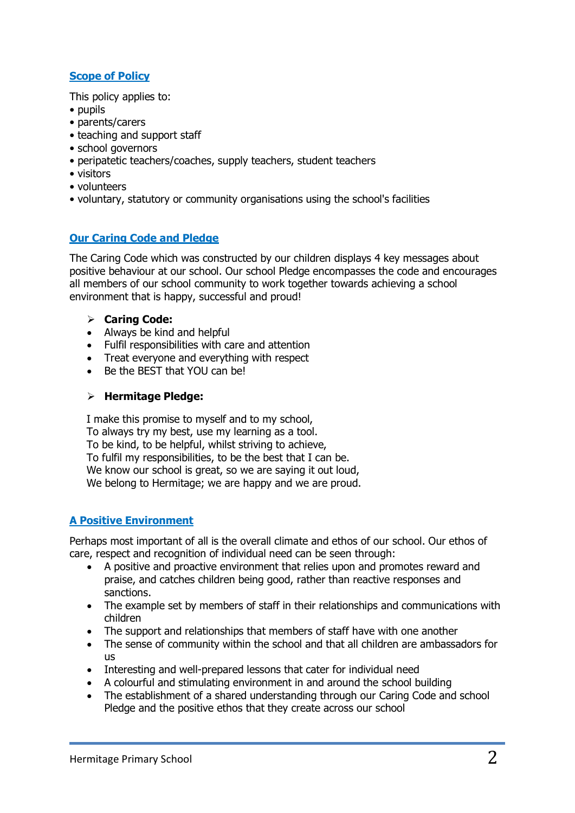# **Scope of Policy**

This policy applies to:

- pupils
- parents/carers
- teaching and support staff
- school governors
- peripatetic teachers/coaches, supply teachers, student teachers
- visitors
- volunteers
- voluntary, statutory or community organisations using the school's facilities

# **Our Caring Code and Pledge**

The Caring Code which was constructed by our children displays 4 key messages about positive behaviour at our school. Our school Pledge encompasses the code and encourages all members of our school community to work together towards achieving a school environment that is happy, successful and proud!

#### **Caring Code:**

- Always be kind and helpful
- Fulfil responsibilities with care and attention
- Treat everyone and everything with respect
- Be the BEST that YOU can be!

### **Hermitage Pledge:**

I make this promise to myself and to my school, To always try my best, use my learning as a tool. To be kind, to be helpful, whilst striving to achieve, To fulfil my responsibilities, to be the best that I can be. We know our school is great, so we are saying it out loud, We belong to Hermitage; we are happy and we are proud.

### **A Positive Environment**

Perhaps most important of all is the overall climate and ethos of our school. Our ethos of care, respect and recognition of individual need can be seen through:

- A positive and proactive environment that relies upon and promotes reward and praise, and catches children being good, rather than reactive responses and sanctions.
- The example set by members of staff in their relationships and communications with children
- The support and relationships that members of staff have with one another
- The sense of community within the school and that all children are ambassadors for us
- Interesting and well-prepared lessons that cater for individual need
- A colourful and stimulating environment in and around the school building
- The establishment of a shared understanding through our Caring Code and school Pledge and the positive ethos that they create across our school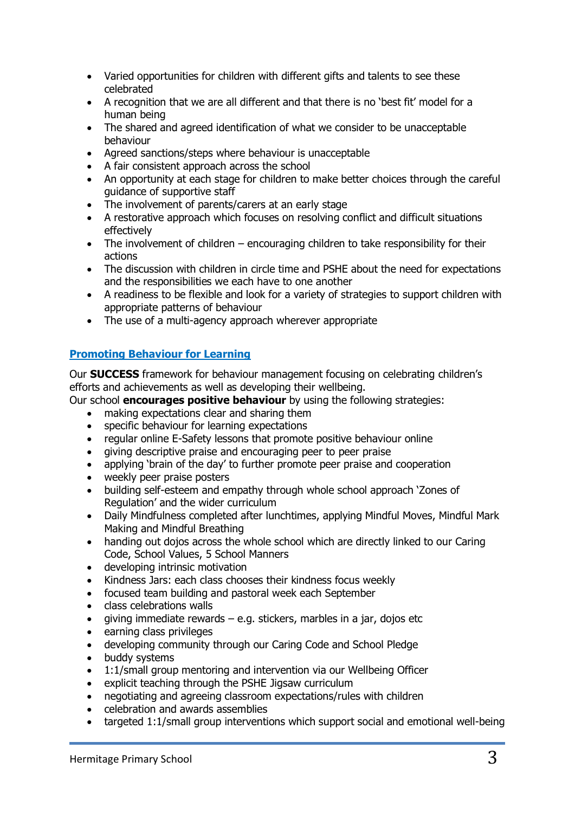- Varied opportunities for children with different gifts and talents to see these celebrated
- A recognition that we are all different and that there is no 'best fit' model for a human being
- The shared and agreed identification of what we consider to be unacceptable behaviour
- Agreed sanctions/steps where behaviour is unacceptable
- A fair consistent approach across the school
- An opportunity at each stage for children to make better choices through the careful guidance of supportive staff
- The involvement of parents/carers at an early stage
- A restorative approach which focuses on resolving conflict and difficult situations effectively
- The involvement of children encouraging children to take responsibility for their actions
- The discussion with children in circle time and PSHE about the need for expectations and the responsibilities we each have to one another
- A readiness to be flexible and look for a variety of strategies to support children with appropriate patterns of behaviour
- The use of a multi-agency approach wherever appropriate

# **Promoting Behaviour for Learning**

Our **SUCCESS** framework for behaviour management focusing on celebrating children's efforts and achievements as well as developing their wellbeing.

Our school **encourages positive behaviour** by using the following strategies:

- making expectations clear and sharing them
- specific behaviour for learning expectations
- regular online E-Safety lessons that promote positive behaviour online
- giving descriptive praise and encouraging peer to peer praise
- applying 'brain of the day' to further promote peer praise and cooperation
- weekly peer praise posters
- building self-esteem and empathy through whole school approach 'Zones of Regulation' and the wider curriculum
- Daily Mindfulness completed after lunchtimes, applying Mindful Moves, Mindful Mark Making and Mindful Breathing
- handing out dojos across the whole school which are directly linked to our Caring Code, School Values, 5 School Manners
- developing intrinsic motivation
- Kindness Jars: each class chooses their kindness focus weekly
- focused team building and pastoral week each September
- class celebrations walls
- qiving immediate rewards e.g. stickers, marbles in a jar, dojos etc
- earning class privileges
- developing community through our Caring Code and School Pledge
- buddy systems
- 1:1/small group mentoring and intervention via our Wellbeing Officer
- explicit teaching through the PSHE Jigsaw curriculum
- negotiating and agreeing classroom expectations/rules with children
- celebration and awards assemblies
- targeted 1:1/small group interventions which support social and emotional well-being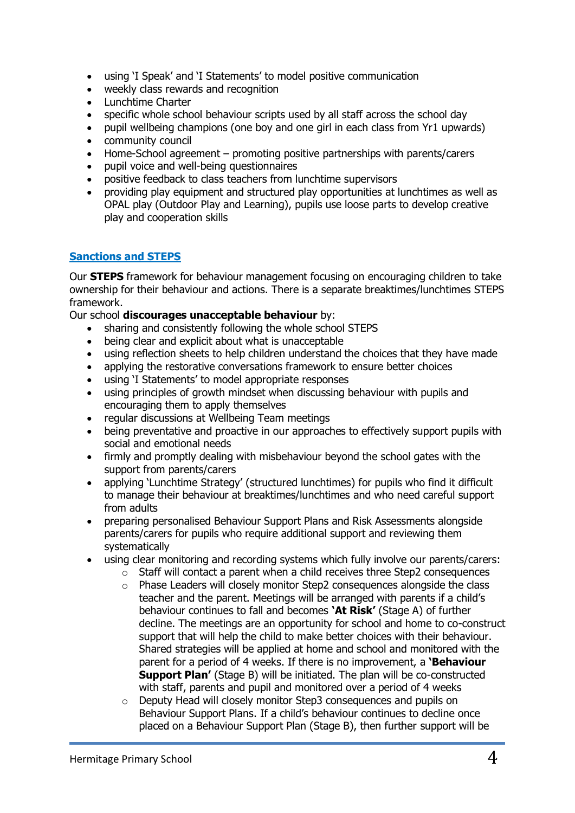- using 'I Speak' and 'I Statements' to model positive communication
- weekly class rewards and recognition
- Lunchtime Charter
- specific whole school behaviour scripts used by all staff across the school day
- pupil wellbeing champions (one boy and one girl in each class from Yr1 upwards)
- community council
- Home-School agreement promoting positive partnerships with parents/carers
- pupil voice and well-being questionnaires
- positive feedback to class teachers from lunchtime supervisors
- providing play equipment and structured play opportunities at lunchtimes as well as OPAL play (Outdoor Play and Learning), pupils use loose parts to develop creative play and cooperation skills

### **Sanctions and STEPS**

Our **STEPS** framework for behaviour management focusing on encouraging children to take ownership for their behaviour and actions. There is a separate breaktimes/lunchtimes STEPS framework.

#### Our school **discourages unacceptable behaviour** by:

- sharing and consistently following the whole school STEPS<br>• being clear and explicit about what is unaccentable
- being clear and explicit about what is unacceptable
- using reflection sheets to help children understand the choices that they have made
- applying the restorative conversations framework to ensure better choices
- using 'I Statements' to model appropriate responses
- using principles of growth mindset when discussing behaviour with pupils and encouraging them to apply themselves
- regular discussions at Wellbeing Team meetings
- being preventative and proactive in our approaches to effectively support pupils with social and emotional needs
- firmly and promptly dealing with misbehaviour beyond the school gates with the support from parents/carers
- applying 'Lunchtime Strategy' (structured lunchtimes) for pupils who find it difficult to manage their behaviour at breaktimes/lunchtimes and who need careful support from adults
- preparing personalised Behaviour Support Plans and Risk Assessments alongside parents/carers for pupils who require additional support and reviewing them systematically
- using clear monitoring and recording systems which fully involve our parents/carers:
	- o Staff will contact a parent when a child receives three Step2 consequences
	- $\circ$  Phase Leaders will closely monitor Step2 consequences alongside the class teacher and the parent. Meetings will be arranged with parents if a child's behaviour continues to fall and becomes **'At Risk'** (Stage A) of further decline. The meetings are an opportunity for school and home to co-construct support that will help the child to make better choices with their behaviour. Shared strategies will be applied at home and school and monitored with the parent for a period of 4 weeks. If there is no improvement, a **'Behaviour Support Plan'** (Stage B) will be initiated. The plan will be co-constructed with staff, parents and pupil and monitored over a period of 4 weeks
	- o Deputy Head will closely monitor Step3 consequences and pupils on Behaviour Support Plans. If a child's behaviour continues to decline once placed on a Behaviour Support Plan (Stage B), then further support will be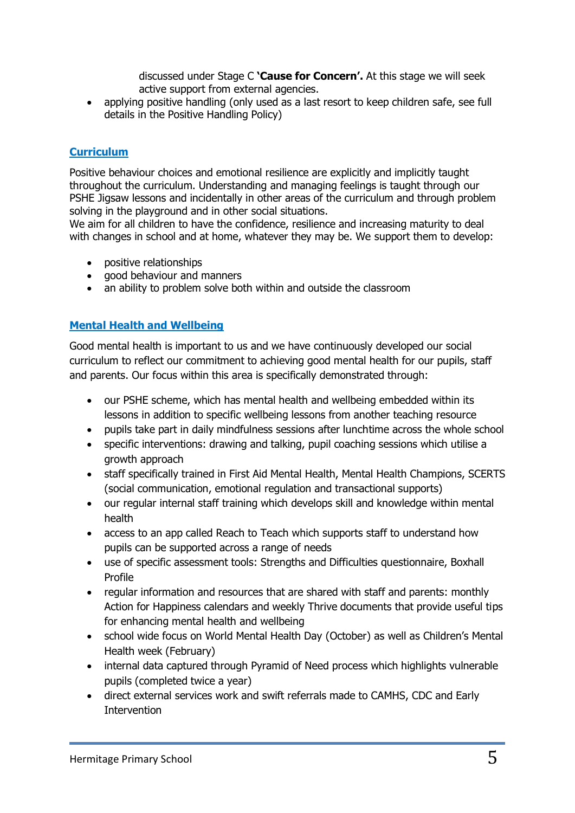discussed under Stage C **'Cause for Concern'.** At this stage we will seek active support from external agencies.

• applying positive handling (only used as a last resort to keep children safe, see full details in the Positive Handling Policy)

# **Curriculum**

Positive behaviour choices and emotional resilience are explicitly and implicitly taught throughout the curriculum. Understanding and managing feelings is taught through our PSHE Jigsaw lessons and incidentally in other areas of the curriculum and through problem solving in the playground and in other social situations.

We aim for all children to have the confidence, resilience and increasing maturity to deal with changes in school and at home, whatever they may be. We support them to develop:

- positive relationships
- good behaviour and manners
- an ability to problem solve both within and outside the classroom

# **Mental Health and Wellbeing**

Good mental health is important to us and we have continuously developed our social curriculum to reflect our commitment to achieving good mental health for our pupils, staff and parents. Our focus within this area is specifically demonstrated through:

- our PSHE scheme, which has mental health and wellbeing embedded within its lessons in addition to specific wellbeing lessons from another teaching resource
- pupils take part in daily mindfulness sessions after lunchtime across the whole school
- specific interventions: drawing and talking, pupil coaching sessions which utilise a growth approach
- staff specifically trained in First Aid Mental Health, Mental Health Champions, SCERTS (social communication, emotional regulation and transactional supports)
- our regular internal staff training which develops skill and knowledge within mental health
- access to an app called Reach to Teach which supports staff to understand how pupils can be supported across a range of needs
- use of specific assessment tools: Strengths and Difficulties questionnaire, Boxhall Profile
- regular information and resources that are shared with staff and parents: monthly Action for Happiness calendars and weekly Thrive documents that provide useful tips for enhancing mental health and wellbeing
- school wide focus on World Mental Health Day (October) as well as Children's Mental Health week (February)
- internal data captured through Pyramid of Need process which highlights vulnerable pupils (completed twice a year)
- direct external services work and swift referrals made to CAMHS, CDC and Early **Intervention**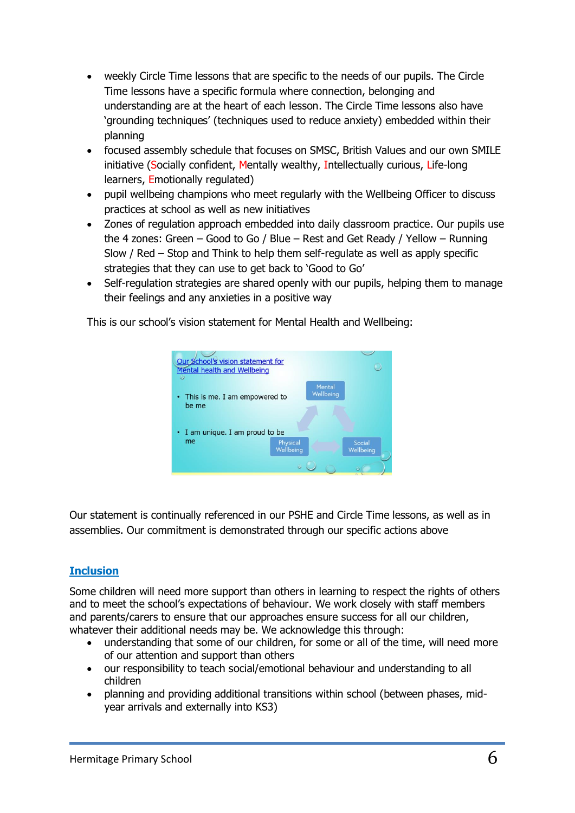- weekly Circle Time lessons that are specific to the needs of our pupils. The Circle Time lessons have a specific formula where connection, belonging and understanding are at the heart of each lesson. The Circle Time lessons also have 'grounding techniques' (techniques used to reduce anxiety) embedded within their planning
- focused assembly schedule that focuses on SMSC, British Values and our own SMILE initiative (Socially confident, Mentally wealthy, Intellectually curious, Life-long learners, Emotionally regulated)
- pupil wellbeing champions who meet regularly with the Wellbeing Officer to discuss practices at school as well as new initiatives
- Zones of regulation approach embedded into daily classroom practice. Our pupils use the 4 zones: Green – Good to Go / Blue – Rest and Get Ready / Yellow – Running Slow / Red – Stop and Think to help them self-regulate as well as apply specific strategies that they can use to get back to 'Good to Go'
- Self-regulation strategies are shared openly with our pupils, helping them to manage their feelings and any anxieties in a positive way

This is our school's vision statement for Mental Health and Wellbeing:



Our statement is continually referenced in our PSHE and Circle Time lessons, as well as in assemblies. Our commitment is demonstrated through our specific actions above

# **Inclusion**

Some children will need more support than others in learning to respect the rights of others and to meet the school's expectations of behaviour. We work closely with staff members and parents/carers to ensure that our approaches ensure success for all our children, whatever their additional needs may be. We acknowledge this through:

- understanding that some of our children, for some or all of the time, will need more of our attention and support than others
- our responsibility to teach social/emotional behaviour and understanding to all children
- planning and providing additional transitions within school (between phases, midyear arrivals and externally into KS3)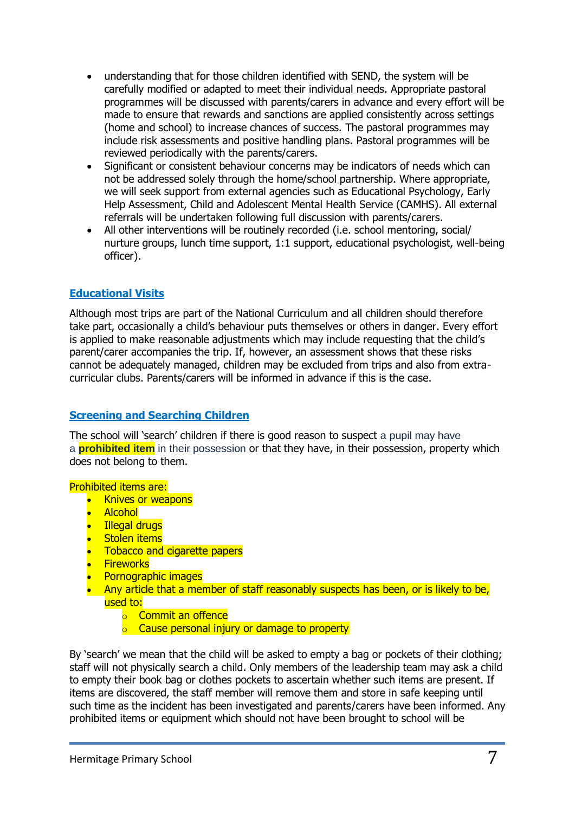- understanding that for those children identified with SEND, the system will be carefully modified or adapted to meet their individual needs. Appropriate pastoral programmes will be discussed with parents/carers in advance and every effort will be made to ensure that rewards and sanctions are applied consistently across settings (home and school) to increase chances of success. The pastoral programmes may include risk assessments and positive handling plans. Pastoral programmes will be reviewed periodically with the parents/carers.
- Significant or consistent behaviour concerns may be indicators of needs which can not be addressed solely through the home/school partnership. Where appropriate, we will seek support from external agencies such as Educational Psychology, Early Help Assessment, Child and Adolescent Mental Health Service (CAMHS). All external referrals will be undertaken following full discussion with parents/carers.
- All other interventions will be routinely recorded (i.e. school mentoring, social/ nurture groups, lunch time support, 1:1 support, educational psychologist, well-being officer).

# **Educational Visits**

Although most trips are part of the National Curriculum and all children should therefore take part, occasionally a child's behaviour puts themselves or others in danger. Every effort is applied to make reasonable adjustments which may include requesting that the child's parent/carer accompanies the trip. If, however, an assessment shows that these risks cannot be adequately managed, children may be excluded from trips and also from extracurricular clubs. Parents/carers will be informed in advance if this is the case.

### **Screening and Searching Children**

The school will 'search' children if there is good reason to suspect a pupil may have a **prohibited item** in their possession or that they have, in their possession, property which does not belong to them.

Prohibited items are:

- Knives or weapons
- Alcohol
- Illegal drugs
- Stolen items
- **Tobacco and cigarette papers**
- **Fireworks**
- Pornographic images
- Any article that a member of staff reasonably suspects has been, or is likely to be, used to:
	- o Commit an offence
	- o Cause personal injury or damage to property

By 'search' we mean that the child will be asked to empty a bag or pockets of their clothing; staff will not physically search a child. Only members of the leadership team may ask a child to empty their book bag or clothes pockets to ascertain whether such items are present. If items are discovered, the staff member will remove them and store in safe keeping until such time as the incident has been investigated and parents/carers have been informed. Any prohibited items or equipment which should not have been brought to school will be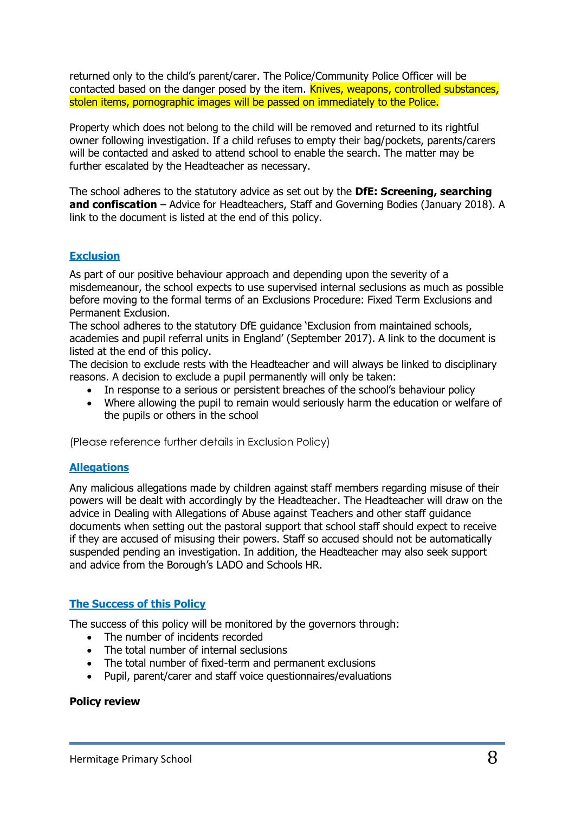returned only to the child's parent/carer. The Police/Community Police Officer will be contacted based on the danger posed by the item. Knives, weapons, controlled substances, stolen items, pornographic images will be passed on immediately to the Police.

Property which does not belong to the child will be removed and returned to its rightful owner following investigation. If a child refuses to empty their bag/pockets, parents/carers will be contacted and asked to attend school to enable the search. The matter may be further escalated by the Headteacher as necessary.

The school adheres to the statutory advice as set out by the **DfE: Screening, searching and confiscation** – Advice for Headteachers, Staff and Governing Bodies (January 2018). A link to the document is listed at the end of this policy.

### **Exclusion**

As part of our positive behaviour approach and depending upon the severity of a misdemeanour, the school expects to use supervised internal seclusions as much as possible before moving to the formal terms of an Exclusions Procedure: Fixed Term Exclusions and Permanent Exclusion.

The school adheres to the statutory DfE guidance 'Exclusion from maintained schools, academies and pupil referral units in England' (September 2017). A link to the document is listed at the end of this policy.

The decision to exclude rests with the Headteacher and will always be linked to disciplinary reasons. A decision to exclude a pupil permanently will only be taken:

- In response to a serious or persistent breaches of the school's behaviour policy
- Where allowing the pupil to remain would seriously harm the education or welfare of the pupils or others in the school

(Please reference further details in Exclusion Policy)

### **Allegations**

Any malicious allegations made by children against staff members regarding misuse of their powers will be dealt with accordingly by the Headteacher. The Headteacher will draw on the advice in Dealing with Allegations of Abuse against Teachers and other staff guidance documents when setting out the pastoral support that school staff should expect to receive if they are accused of misusing their powers. Staff so accused should not be automatically suspended pending an investigation. In addition, the Headteacher may also seek support and advice from the Borough's LADO and Schools HR.

#### **The Success of this Policy**

The success of this policy will be monitored by the governors through:

- The number of incidents recorded
- The total number of internal seclusions
- The total number of fixed-term and permanent exclusions
- Pupil, parent/carer and staff voice questionnaires/evaluations

#### **Policy review**